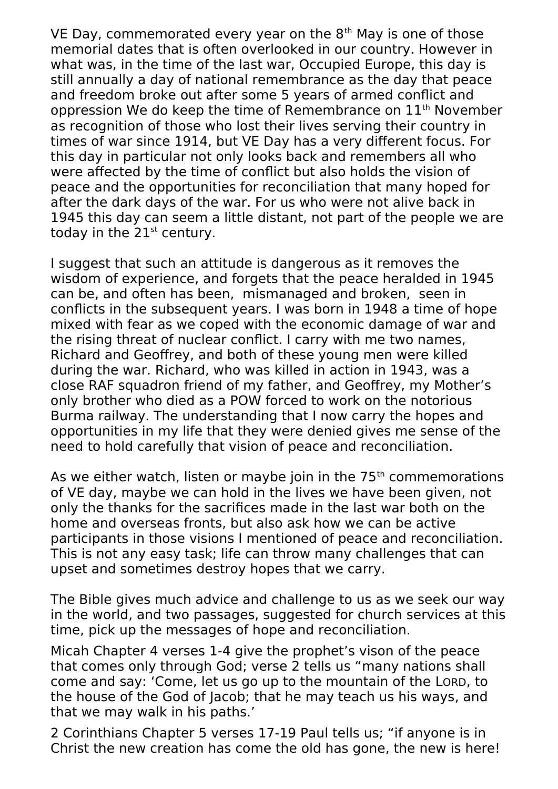VE Day, commemorated every year on the  $8<sup>th</sup>$  May is one of those memorial dates that is often overlooked in our country. However in what was, in the time of the last war, Occupied Europe, this day is still annually a day of national remembrance as the day that peace and freedom broke out after some 5 years of armed conflict and oppression We do keep the time of Remembrance on 11<sup>th</sup> November as recognition of those who lost their lives serving their country in times of war since 1914, but VE Day has a very different focus. For this day in particular not only looks back and remembers all who were affected by the time of conflict but also holds the vision of peace and the opportunities for reconciliation that many hoped for after the dark days of the war. For us who were not alive back in 1945 this day can seem a little distant, not part of the people we are today in the  $21<sup>st</sup>$  century.

I suggest that such an attitude is dangerous as it removes the wisdom of experience, and forgets that the peace heralded in 1945 can be, and often has been, mismanaged and broken, seen in conflicts in the subsequent years. I was born in 1948 a time of hope mixed with fear as we coped with the economic damage of war and the rising threat of nuclear conflict. I carry with me two names, Richard and Geoffrey, and both of these young men were killed during the war. Richard, who was killed in action in 1943, was a close RAF squadron friend of my father, and Geoffrey, my Mother's only brother who died as a POW forced to work on the notorious Burma railway. The understanding that I now carry the hopes and opportunities in my life that they were denied gives me sense of the need to hold carefully that vision of peace and reconciliation.

As we either watch, listen or maybe join in the  $75<sup>th</sup>$  commemorations of VE day, maybe we can hold in the lives we have been given, not only the thanks for the sacrifices made in the last war both on the home and overseas fronts, but also ask how we can be active participants in those visions I mentioned of peace and reconciliation. This is not any easy task; life can throw many challenges that can upset and sometimes destroy hopes that we carry.

The Bible gives much advice and challenge to us as we seek our way in the world, and two passages, suggested for church services at this time, pick up the messages of hope and reconciliation.

Micah Chapter 4 verses 1-4 give the prophet's vison of the peace that comes only through God; verse 2 tells us "many nations shall come and say: 'Come, let us go up to the mountain of the LORD, to the house of the God of Jacob; that he may teach us his ways, and that we may walk in his paths.'

2 Corinthians Chapter 5 verses 17-19 Paul tells us; "if anyone is in Christ the new creation has come the old has gone, the new is here!